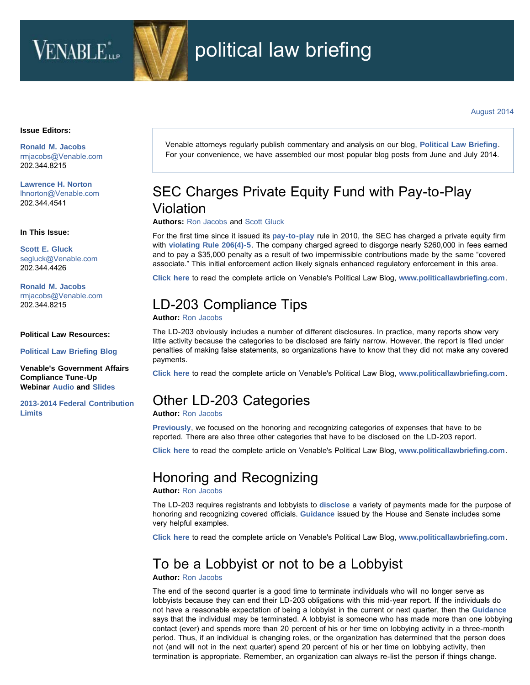# VENABLE<sup>\*</sup>



#### **Issue Editors:**

**[Ronald M. Jacobs](http://www.venable.com/Ronald-M-Jacobs)** [rmjacobs@Venable.com](mailto:rmjacobs@Venable.com) 202.344.8215

**[Lawrence H. Norton](http://www.venable.com/Lawrence-H-Norton)** [lhnorton@Venable.com](mailto:lhnorton@Venable.com) 202.344.4541

#### **In This Issue:**

**[Scott E. Gluck](http://www.venable.com/Scott-E-Gluck)** [segluck@Venable.com](mailto:segluck@Venable.com) 202.344.4426

**[Ronald M. Jacobs](http://www.venable.com/Ronald-M-Jacobs)** [rmjacobs@Venable.com](mailto:rmjacobs@Venable.com) 202.344.8215

#### **Political Law Resources:**

**[Political Law Briefing Blog](http://www.politicallawbriefing.com/?utm_source=emkt&utm_medium=email&utm_campaign=PLB-August2014)**

**Venable's Government Affairs Compliance Tune-Up Webinar [Audio](http://www.youtube.com/watch?v=fxxtWKDo2CA) and [Slides](http://www.venable.com/files/Event/91c90637-dcea-44ee-99bc-b33ec0536844/Preview/EventAttachment/7e73780c-4660-42b9-9d71-f3eed3b8e42c/Government_Affairs_Compliance_Tune_Up_slides_Jan_2014.pdf)**

**[2013-2014 Federal Contribution](http://www.venable.com/files/Publication/843c25fd-f448-4ec2-bd40-62edd8a58311/Presentation/PublicationAttachment/6412e3e1-8a63-4a62-a005-6d6e1a4bb252/Contribution_Limits_2013.pdf) [Limits](http://www.venable.com/files/Publication/843c25fd-f448-4ec2-bd40-62edd8a58311/Presentation/PublicationAttachment/6412e3e1-8a63-4a62-a005-6d6e1a4bb252/Contribution_Limits_2013.pdf)**

Venable attorneys regularly publish commentary and analysis on our blog, **[Political Law Briefing](http://www.politicallawbriefing.com/?utm_source=emkt&utm_medium=email&utm_campaign=PLB-August2014)**. For your convenience, we have assembled our most popular blog posts from June and July 2014.

## SEC Charges Private Equity Fund with Pay-to-Play Violation

**Authors:** [Ron Jacobs](http://www.venable.com/Ronald-M-Jacobs/?utm_source=emkt&utm_medium=email&utm_campaign=PLB-August2014) and [Scott Gluck](http://www.venable.com/scott-e-gluck/?utm_source=emkt&utm_medium=email&utm_campaign=PLB-August2014)

For the first time since it issued its **[pay-to-play](http://www.sec.gov/rules/final/2010/ia-3043.pdf)** rule in 2010, the SEC has charged a private equity firm with **[violating Rule 206\(4\)-5](http://www.sec.gov/News/PressRelease/Detail/PressRelease/1370542119853)**. The company charged agreed to disgorge nearly \$260,000 in fees earned and to pay a \$35,000 penalty as a result of two impermissible contributions made by the same "covered associate." This initial enforcement action likely signals enhanced regulatory enforcement in this area.

**[Click here](http://www.politicallawbriefing.com/2014/06/sec-charges-pe-fund-with-pay-to-play-violation/?utm_source=emkt&utm_medium=email&utm_campaign=PLB-August2014)** to read the complete article on Venable's Political Law Blog, **[www.politicallawbriefing.com](http://www.politicallawbriefing.com/?utm_source=emkt&utm_medium=email&utm_campaign=PLB-August2014)**.

# LD-203 Compliance Tips

### **Author:** [Ron Jacobs](http://www.venable.com/Ronald-M-Jacobs/?utm_source=emkt&utm_medium=email&utm_campaign=PLB-August2014)

The LD-203 obviously includes a number of different disclosures. In practice, many reports show very little activity because the categories to be disclosed are fairly narrow. However, the report is filed under penalties of making false statements, so organizations have to know that they did not make any covered payments.

**[Click here](http://www.politicallawbriefing.com/2014/07/ld-203-compliance-tips/?utm_source=emkt&utm_medium=email&utm_campaign=PLB-August2014)** to read the complete article on Venable's Political Law Blog, **[www.politicallawbriefing.com](http://www.politicallawbriefing.com/?utm_source=emkt&utm_medium=email&utm_campaign=PLB-August2014)**.

### Other LD-203 Categories

### **Author:** [Ron Jacobs](http://www.venable.com/Ronald-M-Jacobs/?utm_source=emkt&utm_medium=email&utm_campaign=PLB-August2014)

**[Previously](http://www.politicallawbriefing.com/2014/07/honoring-and-recognizing/?utm_source=emkt&utm_medium=email&utm_campaign=PLB-August2014)**, we focused on the honoring and recognizing categories of expenses that have to be reported. There are also three other categories that have to be disclosed on the LD-203 report.

**[Click here](http://www.politicallawbriefing.com/2014/07/other-ld-203-categories/?utm_source=emkt&utm_medium=email&utm_campaign=PLB-August2014)** to read the complete article on Venable's Political Law Blog, **[www.politicallawbriefing.com](http://www.politicallawbriefing.com/?utm_source=emkt&utm_medium=email&utm_campaign=PLB-August2014)**.

### Honoring and Recognizing

### **Author:** [Ron Jacobs](http://www.venable.com/Ronald-M-Jacobs/?utm_source=emkt&utm_medium=email&utm_campaign=PLB-August2014)

The LD-203 requires registrants and lobbyists to **[disclose](http://www.politicallawbriefing.com/2014/07/ld-203-compliance-tips/?utm_source=emkt&utm_medium=email&utm_campaign=PLB-August2014)** a variety of payments made for the purpose of honoring and recognizing covered officials. **[Guidance](http://lobbyingdisclosure.house.gov/amended_lda_guide.html#section7)** issued by the House and Senate includes some very helpful examples.

**[Click here](http://www.politicallawbriefing.com/2014/07/honoring-and-recognizing/?utm_source=emkt&utm_medium=email&utm_campaign=PLB-August2014)** to read the complete article on Venable's Political Law Blog, **[www.politicallawbriefing.com](http://www.politicallawbriefing.com/?utm_source=emkt&utm_medium=email&utm_campaign=PLB-August2014)**.

### To be a Lobbyist or not to be a Lobbyist

### **Author:** [Ron Jacobs](http://www.venable.com/Ronald-M-Jacobs/?utm_source=emkt&utm_medium=email&utm_campaign=PLB-August2014)

The end of the second quarter is a good time to terminate individuals who will no longer serve as lobbyists because they can end their LD-203 obligations with this mid-year report. If the individuals do not have a reasonable expectation of being a lobbyist in the current or next quarter, then the **[Guidance](http://lobbyingdisclosure.house.gov/amended_lda_guide.html#section8)** says that the individual may be terminated. A lobbyist is someone who has made more than one lobbying contact (ever) and spends more than 20 percent of his or her time on lobbying activity in a three-month period. Thus, if an individual is changing roles, or the organization has determined that the person does not (and will not in the next quarter) spend 20 percent of his or her time on lobbying activity, then termination is appropriate. Remember, an organization can always re-list the person if things change.